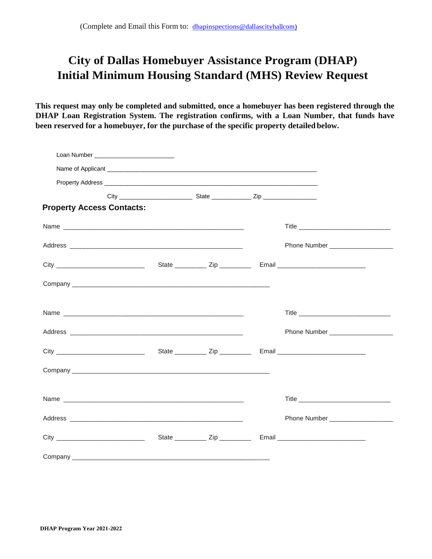# **City of Dallas Homebuyer Assistance Program (DHAP) Initial Minimum Housing Standard (MHS) Review Request**

**This request may only be completed and submitted, once a homebuyer has been registered through the DHAP Loan Registration System. The registration confirms, with a Loan Number, that funds have been reserved for a homebuyer, for the purchase of the specific property detailed below.**

| Loan Number National Assembly and Contract Contract of the United States and Contract Online and Contract Online Contract Online and Contract Online Contract Online and Contract Online Contract Online and Contract Online a |  |  |  |                                     |  |  |  |
|--------------------------------------------------------------------------------------------------------------------------------------------------------------------------------------------------------------------------------|--|--|--|-------------------------------------|--|--|--|
|                                                                                                                                                                                                                                |  |  |  |                                     |  |  |  |
|                                                                                                                                                                                                                                |  |  |  |                                     |  |  |  |
|                                                                                                                                                                                                                                |  |  |  |                                     |  |  |  |
| <b>Property Access Contacts:</b>                                                                                                                                                                                               |  |  |  |                                     |  |  |  |
|                                                                                                                                                                                                                                |  |  |  |                                     |  |  |  |
|                                                                                                                                                                                                                                |  |  |  |                                     |  |  |  |
|                                                                                                                                                                                                                                |  |  |  |                                     |  |  |  |
|                                                                                                                                                                                                                                |  |  |  |                                     |  |  |  |
|                                                                                                                                                                                                                                |  |  |  |                                     |  |  |  |
|                                                                                                                                                                                                                                |  |  |  | Phone Number ______________________ |  |  |  |
|                                                                                                                                                                                                                                |  |  |  |                                     |  |  |  |
|                                                                                                                                                                                                                                |  |  |  |                                     |  |  |  |
|                                                                                                                                                                                                                                |  |  |  |                                     |  |  |  |
|                                                                                                                                                                                                                                |  |  |  |                                     |  |  |  |
|                                                                                                                                                                                                                                |  |  |  |                                     |  |  |  |
|                                                                                                                                                                                                                                |  |  |  |                                     |  |  |  |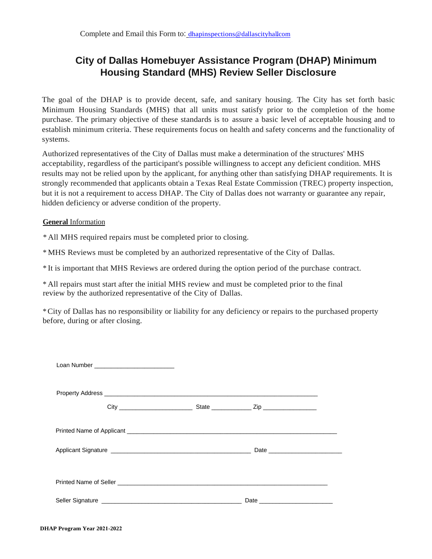## **City of Dallas Homebuyer Assistance Program (DHAP) Minimum Housing Standard (MHS) Review Seller Disclosure**

The goal of the DHAP is to provide decent, safe, and sanitary housing. The City has set forth basic Minimum Housing Standards (MHS) that all units must satisfy prior to the completion of the home purchase. The primary objective of these standards is to assure a basic level of acceptable housing and to establish minimum criteria. These requirements focus on health and safety concerns and the functionality of systems.

Authorized representatives of the City of Dallas must make a determination of the structures' MHS acceptability, regardless of the participant's possible willingness to accept any deficient condition. MHS results may not be relied upon by the applicant, for anything other than satisfying DHAP requirements. It is strongly recommended that applicants obtain a Texas Real Estate Commission (TREC) property inspection, but it is not a requirement to access DHAP. The City of Dallas does not warranty or guarantee any repair, hidden deficiency or adverse condition of the property.

### **General** Information

\* All MHS required repairs must be completed prior to closing.

\* MHS Reviews must be completed by an authorized representative of the City of Dallas.

\* It is important that MHS Reviews are ordered during the option period of the purchase contract.

\* All repairs must start after the initial MHS review and must be completed prior to the final review by the authorized representative of the City of Dallas.

\*City of Dallas has no responsibility or liability for any deficiency or repairs to the purchased property before, during or after closing.

|  |                                                                                                                 |  | Applicant Signature <b>Construction Construction</b> Date <b>Date <u>Construction</u></b> Date <b>Construction</b>                                                                                                             |  |  |  |  |
|--|-----------------------------------------------------------------------------------------------------------------|--|--------------------------------------------------------------------------------------------------------------------------------------------------------------------------------------------------------------------------------|--|--|--|--|
|  |                                                                                                                 |  |                                                                                                                                                                                                                                |  |  |  |  |
|  | Seller Signature entrance and the state of the state of the state of the state of the state of the state of the |  | Date and the contract of the contract of the contract of the contract of the contract of the contract of the contract of the contract of the contract of the contract of the contract of the contract of the contract of the c |  |  |  |  |